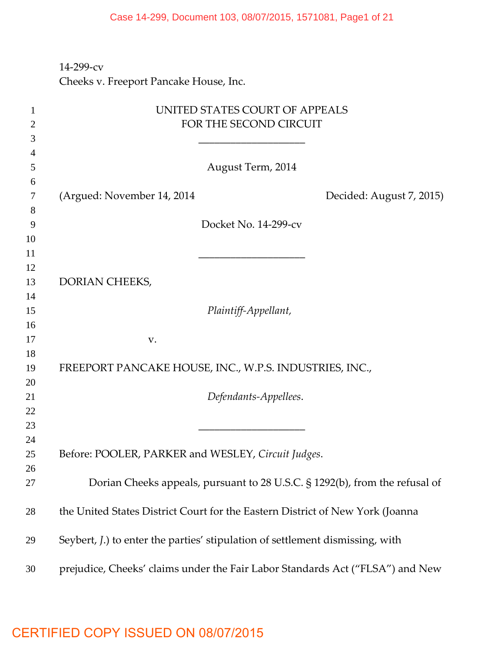#### Case 14-299, Document 103, 08/07/2015, 1571081, Page1 of 21

## ‐299‐cv Cheeks v. Freeport Pancake House, Inc.

| 1  | UNITED STATES COURT OF APPEALS                                                        |
|----|---------------------------------------------------------------------------------------|
| 2  | FOR THE SECOND CIRCUIT                                                                |
| 3  |                                                                                       |
| 4  |                                                                                       |
| 5  | August Term, 2014                                                                     |
| 6  |                                                                                       |
| 7  | (Argued: November 14, 2014)<br>Decided: August 7, 2015)                               |
| 8  |                                                                                       |
| 9  | Docket No. 14-299-cv                                                                  |
| 10 |                                                                                       |
| 11 |                                                                                       |
| 12 |                                                                                       |
| 13 | DORIAN CHEEKS,                                                                        |
| 14 |                                                                                       |
| 15 | Plaintiff-Appellant,                                                                  |
| 16 |                                                                                       |
| 17 | V.                                                                                    |
| 18 |                                                                                       |
| 19 | FREEPORT PANCAKE HOUSE, INC., W.P.S. INDUSTRIES, INC.,                                |
| 20 |                                                                                       |
| 21 | Defendants-Appellees.                                                                 |
| 22 |                                                                                       |
| 23 |                                                                                       |
| 24 |                                                                                       |
| 25 | Before: POOLER, PARKER and WESLEY, Circuit Judges.                                    |
| 26 |                                                                                       |
| 27 | Dorian Cheeks appeals, pursuant to 28 U.S.C. § 1292(b), from the refusal of           |
| 28 | the United States District Court for the Eastern District of New York (Joanna         |
|    |                                                                                       |
| 29 | Seybert, <i>J</i> .) to enter the parties' stipulation of settlement dismissing, with |
| 30 | prejudice, Cheeks' claims under the Fair Labor Standards Act ("FLSA") and New         |

# CERTIFIED COPY ISSUED ON 08/07/2015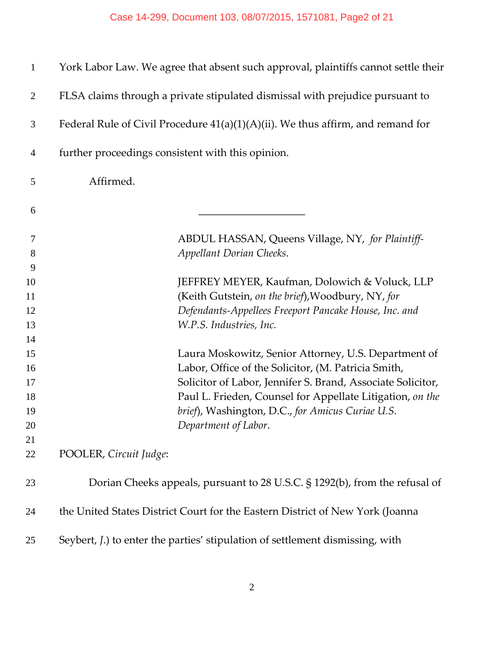| $\mathbf{1}$   | York Labor Law. We agree that absent such approval, plaintiffs cannot settle their    |  |
|----------------|---------------------------------------------------------------------------------------|--|
| $\overline{2}$ | FLSA claims through a private stipulated dismissal with prejudice pursuant to         |  |
| 3              | Federal Rule of Civil Procedure 41(a)(1)(A)(ii). We thus affirm, and remand for       |  |
| $\overline{4}$ | further proceedings consistent with this opinion.                                     |  |
| 5              | Affirmed.                                                                             |  |
| 6              |                                                                                       |  |
| 7              | ABDUL HASSAN, Queens Village, NY, for Plaintiff-                                      |  |
| 8              | Appellant Dorian Cheeks.                                                              |  |
| 9              |                                                                                       |  |
| 10             | JEFFREY MEYER, Kaufman, Dolowich & Voluck, LLP                                        |  |
| 11             | (Keith Gutstein, on the brief), Woodbury, NY, for                                     |  |
| 12             | Defendants-Appellees Freeport Pancake House, Inc. and                                 |  |
| 13             | W.P.S. Industries, Inc.                                                               |  |
| 14             |                                                                                       |  |
| 15             | Laura Moskowitz, Senior Attorney, U.S. Department of                                  |  |
| 16             | Labor, Office of the Solicitor, (M. Patricia Smith,                                   |  |
| 17             | Solicitor of Labor, Jennifer S. Brand, Associate Solicitor,                           |  |
| 18             | Paul L. Frieden, Counsel for Appellate Litigation, on the                             |  |
| 19             | brief), Washington, D.C., for Amicus Curiae U.S.                                      |  |
| 20             | Department of Labor.                                                                  |  |
| 21             |                                                                                       |  |
| 22             | POOLER, Circuit Judge:                                                                |  |
| 23             | Dorian Cheeks appeals, pursuant to 28 U.S.C. § 1292(b), from the refusal of           |  |
| 24             | the United States District Court for the Eastern District of New York (Joanna         |  |
| 25             | Seybert, <i>J</i> .) to enter the parties' stipulation of settlement dismissing, with |  |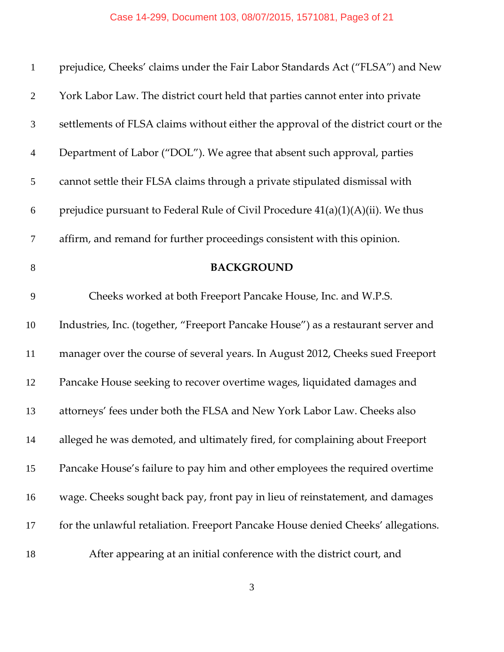### Case 14-299, Document 103, 08/07/2015, 1571081, Page3 of 21

| $\mathbf{1}$   | prejudice, Cheeks' claims under the Fair Labor Standards Act ("FLSA") and New       |
|----------------|-------------------------------------------------------------------------------------|
| $\overline{2}$ | York Labor Law. The district court held that parties cannot enter into private      |
| 3              | settlements of FLSA claims without either the approval of the district court or the |
| $\overline{4}$ | Department of Labor ("DOL"). We agree that absent such approval, parties            |
| 5              | cannot settle their FLSA claims through a private stipulated dismissal with         |
| 6              | prejudice pursuant to Federal Rule of Civil Procedure $41(a)(1)(A)(ii)$ . We thus   |
| $\overline{7}$ | affirm, and remand for further proceedings consistent with this opinion.            |
| 8              | <b>BACKGROUND</b>                                                                   |
| 9              | Cheeks worked at both Freeport Pancake House, Inc. and W.P.S.                       |
| 10             | Industries, Inc. (together, "Freeport Pancake House") as a restaurant server and    |
| 11             | manager over the course of several years. In August 2012, Cheeks sued Freeport      |
| 12             | Pancake House seeking to recover overtime wages, liquidated damages and             |
| 13             | attorneys' fees under both the FLSA and New York Labor Law. Cheeks also             |
| 14             | alleged he was demoted, and ultimately fired, for complaining about Freeport        |
| 15             | Pancake House's failure to pay him and other employees the required overtime        |
| 16             | wage. Cheeks sought back pay, front pay in lieu of reinstatement, and damages       |
| 17             | for the unlawful retaliation. Freeport Pancake House denied Cheeks' allegations.    |
| 18             | After appearing at an initial conference with the district court, and               |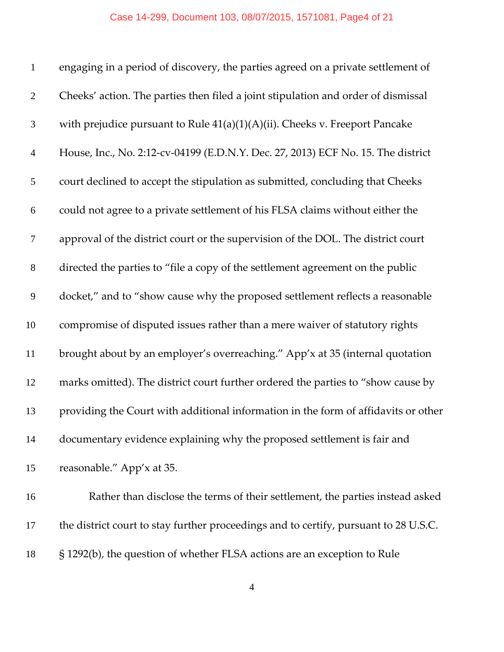#### Case 14-299, Document 103, 08/07/2015, 1571081, Page4 of 21

| $\mathbf{1}$   | engaging in a period of discovery, the parties agreed on a private settlement of     |
|----------------|--------------------------------------------------------------------------------------|
| $\overline{2}$ | Cheeks' action. The parties then filed a joint stipulation and order of dismissal    |
| 3              | with prejudice pursuant to Rule $41(a)(1)(A)(ii)$ . Cheeks v. Freeport Pancake       |
| $\overline{4}$ | House, Inc., No. 2:12-cv-04199 (E.D.N.Y. Dec. 27, 2013) ECF No. 15. The district     |
| 5              | court declined to accept the stipulation as submitted, concluding that Cheeks        |
| 6              | could not agree to a private settlement of his FLSA claims without either the        |
| $\tau$         | approval of the district court or the supervision of the DOL. The district court     |
| $8\,$          | directed the parties to "file a copy of the settlement agreement on the public       |
| 9              | docket," and to "show cause why the proposed settlement reflects a reasonable        |
| 10             | compromise of disputed issues rather than a mere waiver of statutory rights          |
| 11             | brought about by an employer's overreaching." App'x at 35 (internal quotation        |
| 12             | marks omitted). The district court further ordered the parties to "show cause by     |
| 13             | providing the Court with additional information in the form of affidavits or other   |
| 14             | documentary evidence explaining why the proposed settlement is fair and              |
| 15             | reasonable." App'x at 35.                                                            |
| 16             | Rather than disclose the terms of their settlement, the parties instead asked        |
| 17             | the district court to stay further proceedings and to certify, pursuant to 28 U.S.C. |

§ 1292(b), the question of whether FLSA actions are an exception to Rule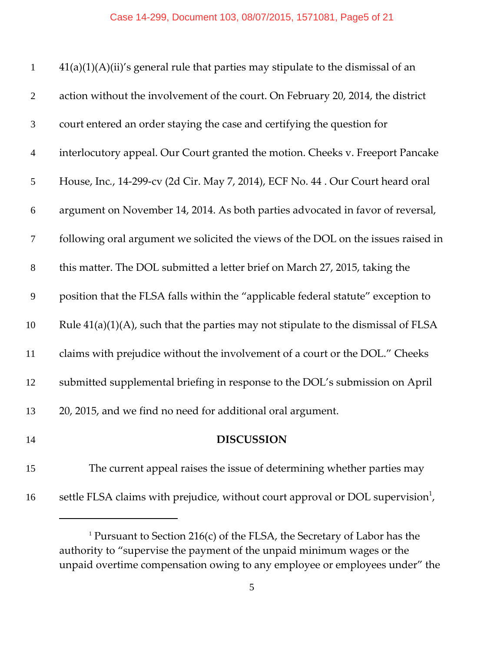| $\mathbf{1}$   | $41(a)(1)(A)(ii)'$ s general rule that parties may stipulate to the dismissal of an         |
|----------------|---------------------------------------------------------------------------------------------|
| $\mathbf{2}$   | action without the involvement of the court. On February 20, 2014, the district             |
| $\mathfrak{Z}$ | court entered an order staying the case and certifying the question for                     |
| $\overline{4}$ | interlocutory appeal. Our Court granted the motion. Cheeks v. Freeport Pancake              |
| $\mathfrak{S}$ | House, Inc., 14-299-cv (2d Cir. May 7, 2014), ECF No. 44 . Our Court heard oral             |
| 6              | argument on November 14, 2014. As both parties advocated in favor of reversal,              |
| $\tau$         | following oral argument we solicited the views of the DOL on the issues raised in           |
| $8\,$          | this matter. The DOL submitted a letter brief on March 27, 2015, taking the                 |
| 9              | position that the FLSA falls within the "applicable federal statute" exception to           |
| 10             | Rule $41(a)(1)(A)$ , such that the parties may not stipulate to the dismissal of FLSA       |
| 11             | claims with prejudice without the involvement of a court or the DOL." Cheeks                |
| 12             | submitted supplemental briefing in response to the DOL's submission on April                |
| 13             | 20, 2015, and we find no need for additional oral argument.                                 |
| 14             | <b>DISCUSSION</b>                                                                           |
| 15             | The current appeal raises the issue of determining whether parties may                      |
| 16             | settle FLSA claims with prejudice, without court approval or DOL supervision <sup>1</sup> , |

<sup>&</sup>lt;sup>1</sup> Pursuant to Section 216(c) of the FLSA, the Secretary of Labor has the authority to "supervise the payment of the unpaid minimum wages or the unpaid overtime compensation owing to any employee or employees under" the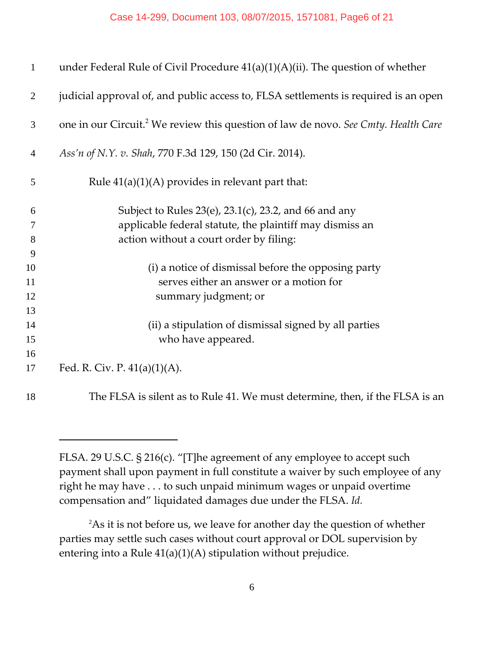| $\mathbf{1}$   | under Federal Rule of Civil Procedure $41(a)(1)(A)(ii)$ . The question of whether              |
|----------------|------------------------------------------------------------------------------------------------|
| 2              | judicial approval of, and public access to, FLSA settlements is required is an open            |
| 3              | one in our Circuit. <sup>2</sup> We review this question of law de novo. See Cmty. Health Care |
| $\overline{4}$ | Ass'n of N.Y. v. Shah, 770 F.3d 129, 150 (2d Cir. 2014).                                       |
| 5              | Rule $41(a)(1)(A)$ provides in relevant part that:                                             |
| 6              | Subject to Rules 23(e), 23.1(c), 23.2, and 66 and any                                          |
| 7              | applicable federal statute, the plaintiff may dismiss an                                       |
| 8              | action without a court order by filing:                                                        |
| 9              |                                                                                                |
| 10             | (i) a notice of dismissal before the opposing party                                            |
| 11             | serves either an answer or a motion for                                                        |
| 12             | summary judgment; or                                                                           |
| 13             |                                                                                                |
| 14             | (ii) a stipulation of dismissal signed by all parties                                          |
| 15             | who have appeared.                                                                             |
| 16             |                                                                                                |
| 17             | Fed. R. Civ. P. $41(a)(1)(A)$ .                                                                |
| 18             | The FLSA is silent as to Rule 41. We must determine, then, if the FLSA is an                   |

FLSA. 29 U.S.C. § 216(c). "[T]he agreement of any employee to accept such payment shall upon payment in full constitute a waiver by such employee of any right he may have . . . to such unpaid minimum wages or unpaid overtime compensation and" liquidated damages due under the FLSA. *Id.*

As it is not before us, we leave for another day the question of whether parties may settle such cases without court approval or DOL supervision by entering into a Rule 41(a)(1)(A) stipulation without prejudice.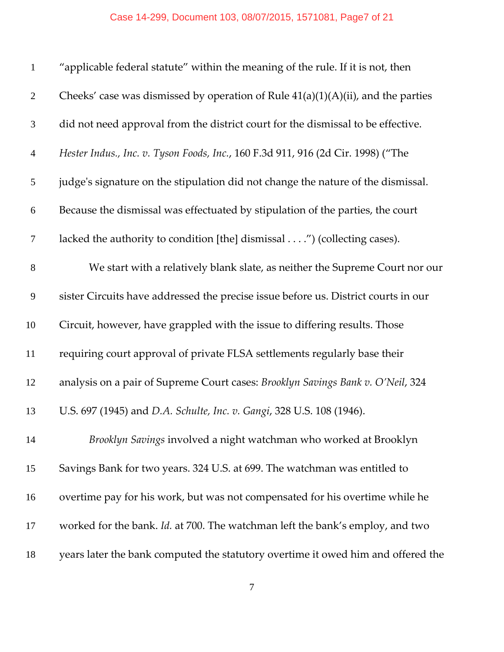| $\mathbf{1}$   | "applicable federal statute" within the meaning of the rule. If it is not, then     |
|----------------|-------------------------------------------------------------------------------------|
| $\overline{2}$ | Cheeks' case was dismissed by operation of Rule $41(a)(1)(A)(ii)$ , and the parties |
| 3              | did not need approval from the district court for the dismissal to be effective.    |
| $\overline{4}$ | Hester Indus., Inc. v. Tyson Foods, Inc., 160 F.3d 911, 916 (2d Cir. 1998) ("The    |
| 5              | judge's signature on the stipulation did not change the nature of the dismissal.    |
| 6              | Because the dismissal was effectuated by stipulation of the parties, the court      |
| $\tau$         | lacked the authority to condition [the] dismissal") (collecting cases).             |
| $8\,$          | We start with a relatively blank slate, as neither the Supreme Court nor our        |
| 9              | sister Circuits have addressed the precise issue before us. District courts in our  |
| 10             | Circuit, however, have grappled with the issue to differing results. Those          |
| 11             | requiring court approval of private FLSA settlements regularly base their           |
| 12             | analysis on a pair of Supreme Court cases: Brooklyn Savings Bank v. O'Neil, 324     |
| 13             | U.S. 697 (1945) and D.A. Schulte, Inc. v. Gangi, 328 U.S. 108 (1946).               |
| 14             | Brooklyn Savings involved a night watchman who worked at Brooklyn                   |
| 15             | Savings Bank for two years. 324 U.S. at 699. The watchman was entitled to           |
| 16             | overtime pay for his work, but was not compensated for his overtime while he        |
| 17             | worked for the bank. Id. at 700. The watchman left the bank's employ, and two       |
| 18             | years later the bank computed the statutory overtime it owed him and offered the    |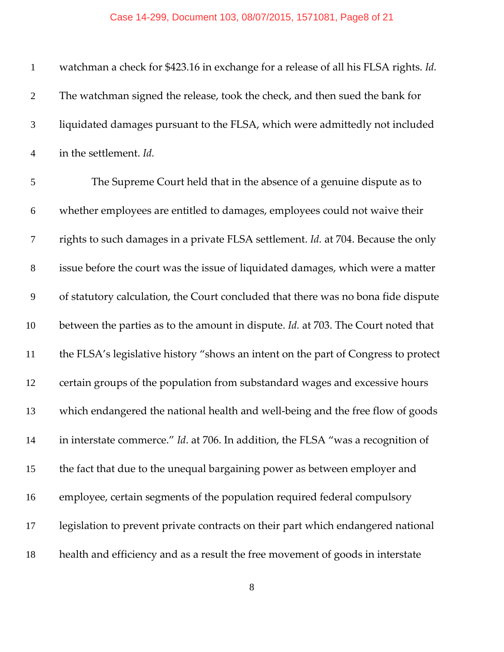| $\mathbf{1}$     | watchman a check for \$423.16 in exchange for a release of all his FLSA rights. Id. |
|------------------|-------------------------------------------------------------------------------------|
| $\overline{2}$   | The watchman signed the release, took the check, and then sued the bank for         |
| 3                | liquidated damages pursuant to the FLSA, which were admittedly not included         |
| $\overline{4}$   | in the settlement. Id.                                                              |
| 5                | The Supreme Court held that in the absence of a genuine dispute as to               |
| 6                | whether employees are entitled to damages, employees could not waive their          |
| $\boldsymbol{7}$ | rights to such damages in a private FLSA settlement. Id. at 704. Because the only   |
| $8\,$            | issue before the court was the issue of liquidated damages, which were a matter     |
| 9                | of statutory calculation, the Court concluded that there was no bona fide dispute   |
| 10               | between the parties as to the amount in dispute. Id. at 703. The Court noted that   |
| 11               | the FLSA's legislative history "shows an intent on the part of Congress to protect  |
| 12               | certain groups of the population from substandard wages and excessive hours         |
| 13               | which endangered the national health and well-being and the free flow of goods      |
| 14               | in interstate commerce." Id. at 706. In addition, the FLSA "was a recognition of    |
| 15               | the fact that due to the unequal bargaining power as between employer and           |
| 16               | employee, certain segments of the population required federal compulsory            |
| 17               | legislation to prevent private contracts on their part which endangered national    |
| 18               | health and efficiency and as a result the free movement of goods in interstate      |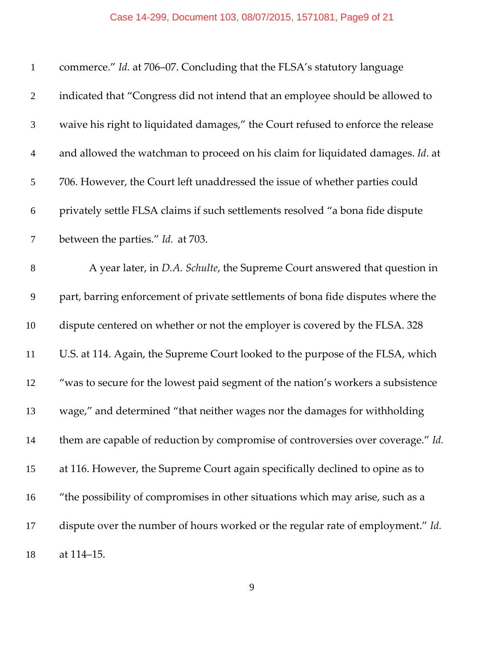### Case 14-299, Document 103, 08/07/2015, 1571081, Page9 of 21

| $\mathbf{1}$     | commerce." Id. at 706-07. Concluding that the FLSA's statutory language          |
|------------------|----------------------------------------------------------------------------------|
| $\overline{2}$   | indicated that "Congress did not intend that an employee should be allowed to    |
| 3                | waive his right to liquidated damages," the Court refused to enforce the release |
| $\overline{4}$   | and allowed the watchman to proceed on his claim for liquidated damages. Id. at  |
| 5                | 706. However, the Court left unaddressed the issue of whether parties could      |
| 6                | privately settle FLSA claims if such settlements resolved "a bona fide dispute   |
| $\boldsymbol{7}$ | between the parties." Id. at 703.                                                |
| $8\,$            | A year later, in D.A. Schulte, the Supreme Court answered that question in       |
| 9                | part, barring enforcement of private settlements of bona fide disputes where the |
| 10               | dispute centered on whether or not the employer is covered by the FLSA. 328      |
| 11               | U.S. at 114. Again, the Supreme Court looked to the purpose of the FLSA, which   |
| 12               | "was to secure for the lowest paid segment of the nation's workers a subsistence |
| 13               | wage," and determined "that neither wages nor the damages for withholding        |
| 14               | them are capable of reduction by compromise of controversies over coverage." Id. |
| 15               | at 116. However, the Supreme Court again specifically declined to opine as to    |
| 16               | "the possibility of compromises in other situations which may arise, such as a   |
| 17               | dispute over the number of hours worked or the regular rate of employment." Id.  |
| 18               | at 114-15.                                                                       |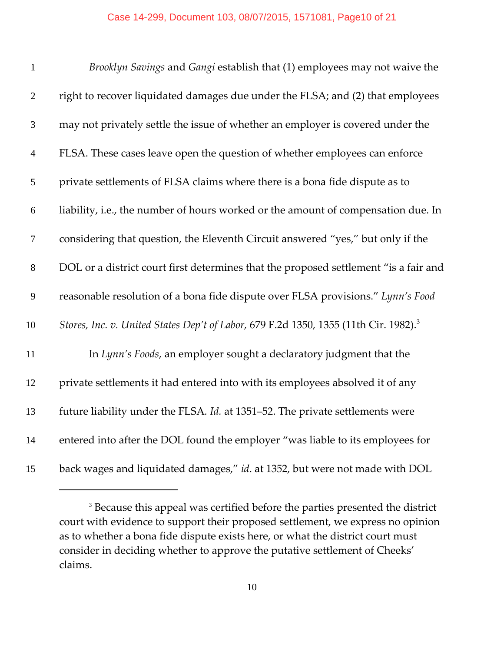| $\mathbf{1}$     | Brooklyn Savings and Gangi establish that (1) employees may not waive the                        |
|------------------|--------------------------------------------------------------------------------------------------|
| $\mathbf{2}$     | right to recover liquidated damages due under the FLSA; and (2) that employees                   |
| $\mathfrak{Z}$   | may not privately settle the issue of whether an employer is covered under the                   |
| $\overline{4}$   | FLSA. These cases leave open the question of whether employees can enforce                       |
| 5                | private settlements of FLSA claims where there is a bona fide dispute as to                      |
| $\boldsymbol{6}$ | liability, i.e., the number of hours worked or the amount of compensation due. In                |
| $\tau$           | considering that question, the Eleventh Circuit answered "yes," but only if the                  |
| $8\,$            | DOL or a district court first determines that the proposed settlement "is a fair and             |
| 9                | reasonable resolution of a bona fide dispute over FLSA provisions." Lynn's Food                  |
| 10               | Stores, Inc. v. United States Dep't of Labor, 679 F.2d 1350, 1355 (11th Cir. 1982). <sup>3</sup> |
| 11               | In Lynn's Foods, an employer sought a declaratory judgment that the                              |
| 12               | private settlements it had entered into with its employees absolved it of any                    |
| 13               | future liability under the FLSA. Id. at 1351-52. The private settlements were                    |
| 14               | entered into after the DOL found the employer "was liable to its employees for                   |
| 15               | back wages and liquidated damages," id. at 1352, but were not made with DOL                      |

<sup>&</sup>lt;sup>3</sup> Because this appeal was certified before the parties presented the district court with evidence to support their proposed settlement, we express no opinion as to whether a bona fide dispute exists here, or what the district court must consider in deciding whether to approve the putative settlement of Cheeks' claims.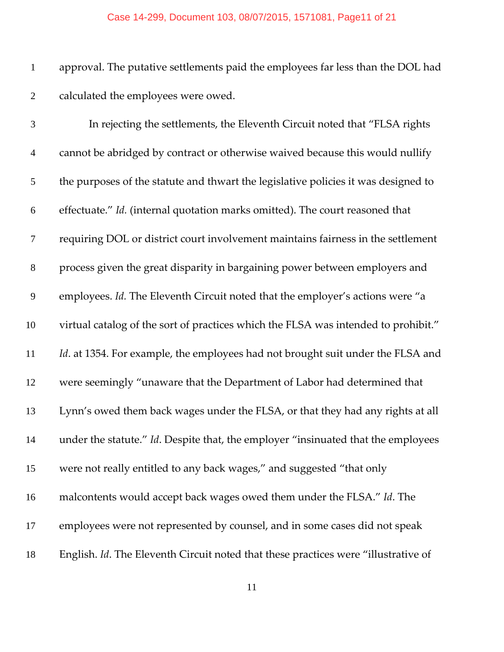#### Case 14-299, Document 103, 08/07/2015, 1571081, Page11 of 21

 approval. The putative settlements paid the employees far less than the DOL had calculated the employees were owed.

| $\mathfrak{Z}$ | In rejecting the settlements, the Eleventh Circuit noted that "FLSA rights"        |
|----------------|------------------------------------------------------------------------------------|
| $\overline{4}$ | cannot be abridged by contract or otherwise waived because this would nullify      |
| 5              | the purposes of the statute and thwart the legislative policies it was designed to |
| 6              | effectuate." Id. (internal quotation marks omitted). The court reasoned that       |
| $\tau$         | requiring DOL or district court involvement maintains fairness in the settlement   |
| $8\,$          | process given the great disparity in bargaining power between employers and        |
| 9              | employees. Id. The Eleventh Circuit noted that the employer's actions were "a      |
| 10             | virtual catalog of the sort of practices which the FLSA was intended to prohibit." |
| 11             | Id. at 1354. For example, the employees had not brought suit under the FLSA and    |
| 12             | were seemingly "unaware that the Department of Labor had determined that           |
| 13             | Lynn's owed them back wages under the FLSA, or that they had any rights at all     |
| 14             | under the statute." Id. Despite that, the employer "insinuated that the employees  |
| 15             | were not really entitled to any back wages," and suggested "that only              |
| 16             | malcontents would accept back wages owed them under the FLSA." Id. The             |
| 17             | employees were not represented by counsel, and in some cases did not speak         |
| 18             | English. Id. The Eleventh Circuit noted that these practices were "illustrative of |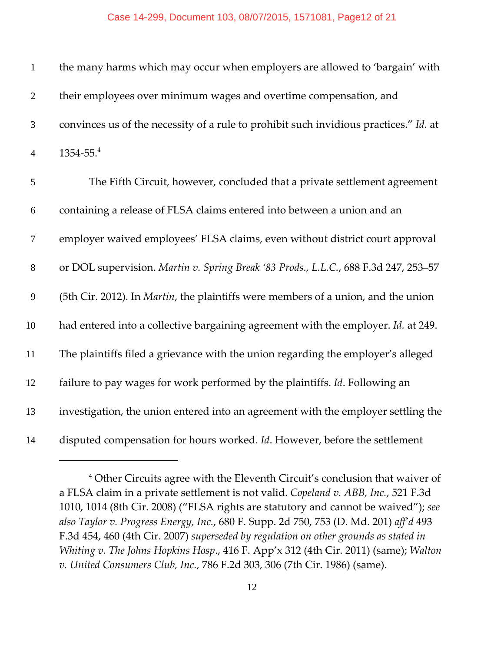| $\mathbf{1}$   | the many harms which may occur when employers are allowed to 'bargain' with               |
|----------------|-------------------------------------------------------------------------------------------|
| $\overline{2}$ | their employees over minimum wages and overtime compensation, and                         |
| $\mathfrak{Z}$ | convinces us of the necessity of a rule to prohibit such invidious practices." Id. at     |
| $\overline{4}$ | $1354 - 55.4$                                                                             |
| $\mathfrak{S}$ | The Fifth Circuit, however, concluded that a private settlement agreement                 |
| 6              | containing a release of FLSA claims entered into between a union and an                   |
| $\tau$         | employer waived employees' FLSA claims, even without district court approval              |
| $8\,$          | or DOL supervision. Martin v. Spring Break '83 Prods., L.L.C., 688 F.3d 247, 253-57       |
| 9              | (5th Cir. 2012). In <i>Martin</i> , the plaintiffs were members of a union, and the union |
| 10             | had entered into a collective bargaining agreement with the employer. Id. at 249.         |
| 11             | The plaintiffs filed a grievance with the union regarding the employer's alleged          |
| 12             | failure to pay wages for work performed by the plaintiffs. Id. Following an               |
| 13             | investigation, the union entered into an agreement with the employer settling the         |
| 14             | disputed compensation for hours worked. Id. However, before the settlement                |

 Other Circuits agree with the Eleventh Circuit's conclusion that waiver of a FLSA claim in a private settlement is not valid. *Copeland v. ABB, Inc.*, 521 F.3d 1010, 1014 (8th Cir. 2008) ("FLSA rights are statutory and cannot be waived"); *see also Taylor v. Progress Energy, Inc.*, 680 F. Supp. 2d 750, 753 (D. Md. 201) *aff'd* 493 F.3d 454, 460 (4th Cir. 2007) *superseded by regulation on other grounds as stated in Whiting v. The Johns Hopkins Hosp*., 416 F. App'x 312 (4th Cir. 2011) (same); *Walton v. United Consumers Club, Inc.*, 786 F.2d 303, 306 (7th Cir. 1986) (same).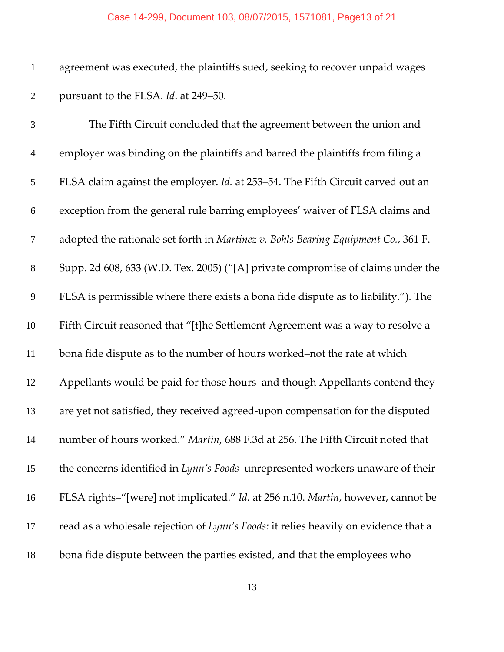agreement was executed, the plaintiffs sued, seeking to recover unpaid wages pursuant to the FLSA. *Id*. at 249–50.

| $\mathfrak{Z}$ | The Fifth Circuit concluded that the agreement between the union and                  |
|----------------|---------------------------------------------------------------------------------------|
| $\overline{4}$ | employer was binding on the plaintiffs and barred the plaintiffs from filing a        |
| $\mathfrak{S}$ | FLSA claim against the employer. Id. at 253-54. The Fifth Circuit carved out an       |
| 6              | exception from the general rule barring employees' waiver of FLSA claims and          |
| 7              | adopted the rationale set forth in Martinez $v$ . Bohls Bearing Equipment Co., 361 F. |
| $8\,$          | Supp. 2d 608, 633 (W.D. Tex. 2005) ("[A] private compromise of claims under the       |
| $\mathbf{9}$   | FLSA is permissible where there exists a bona fide dispute as to liability."). The    |
| 10             | Fifth Circuit reasoned that "[t]he Settlement Agreement was a way to resolve a        |
| 11             | bona fide dispute as to the number of hours worked-not the rate at which              |
| 12             | Appellants would be paid for those hours-and though Appellants contend they           |
| 13             | are yet not satisfied, they received agreed-upon compensation for the disputed        |
| 14             | number of hours worked." Martin, 688 F.3d at 256. The Fifth Circuit noted that        |
| 15             | the concerns identified in Lynn's Foods-unrepresented workers unaware of their        |
| 16             | FLSA rights-"[were] not implicated." Id. at 256 n.10. Martin, however, cannot be      |
| 17             | read as a wholesale rejection of Lynn's Foods: it relies heavily on evidence that a   |
| 18             | bona fide dispute between the parties existed, and that the employees who             |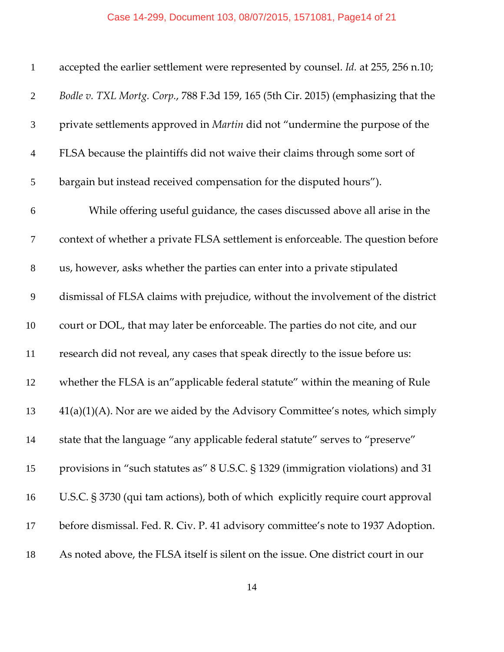### Case 14-299, Document 103, 08/07/2015, 1571081, Page14 of 21

| $\mathbf{1}$   | accepted the earlier settlement were represented by counsel. Id. at 255, 256 n.10; |
|----------------|------------------------------------------------------------------------------------|
| $\overline{2}$ | Bodle v. TXL Mortg. Corp., 788 F.3d 159, 165 (5th Cir. 2015) (emphasizing that the |
| 3              | private settlements approved in Martin did not "undermine the purpose of the       |
| $\overline{4}$ | FLSA because the plaintiffs did not waive their claims through some sort of        |
| 5              | bargain but instead received compensation for the disputed hours").                |
| 6              | While offering useful guidance, the cases discussed above all arise in the         |
| $\overline{7}$ | context of whether a private FLSA settlement is enforceable. The question before   |
| $8\,$          | us, however, asks whether the parties can enter into a private stipulated          |
| $\mathbf{9}$   | dismissal of FLSA claims with prejudice, without the involvement of the district   |
| 10             | court or DOL, that may later be enforceable. The parties do not cite, and our      |
| 11             | research did not reveal, any cases that speak directly to the issue before us:     |
| 12             | whether the FLSA is an"applicable federal statute" within the meaning of Rule      |
| 13             | $41(a)(1)(A)$ . Nor are we aided by the Advisory Committee's notes, which simply   |
| 14             | state that the language "any applicable federal statute" serves to "preserve"      |
| 15             | provisions in "such statutes as" 8 U.S.C. § 1329 (immigration violations) and 31   |
| 16             | U.S.C. § 3730 (qui tam actions), both of which explicitly require court approval   |
| 17             | before dismissal. Fed. R. Civ. P. 41 advisory committee's note to 1937 Adoption.   |
| 18             | As noted above, the FLSA itself is silent on the issue. One district court in our  |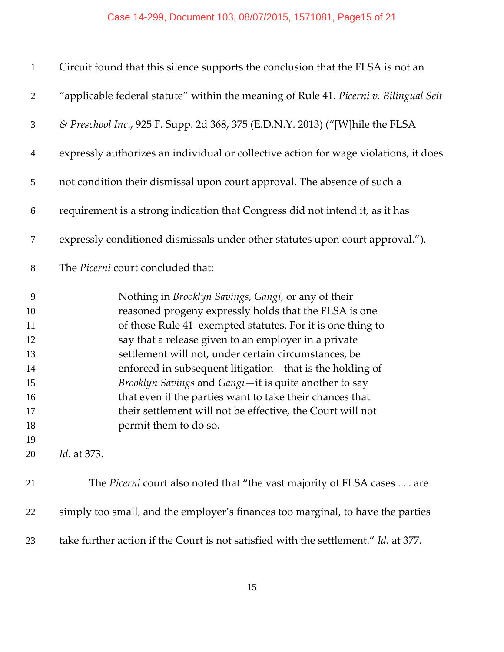#### Case 14-299, Document 103, 08/07/2015, 1571081, Page15 of 21

| $\mathbf{1}$                                                        | Circuit found that this silence supports the conclusion that the FLSA is not an                                                                                                                                                                                                                                                                                                                                                                                                                                                                                                          |
|---------------------------------------------------------------------|------------------------------------------------------------------------------------------------------------------------------------------------------------------------------------------------------------------------------------------------------------------------------------------------------------------------------------------------------------------------------------------------------------------------------------------------------------------------------------------------------------------------------------------------------------------------------------------|
| $\overline{2}$                                                      | "applicable federal statute" within the meaning of Rule 41. Picerni v. Bilingual Seit                                                                                                                                                                                                                                                                                                                                                                                                                                                                                                    |
| 3                                                                   | & Preschool Inc., 925 F. Supp. 2d 368, 375 (E.D.N.Y. 2013) ("[W]hile the FLSA                                                                                                                                                                                                                                                                                                                                                                                                                                                                                                            |
| $\overline{4}$                                                      | expressly authorizes an individual or collective action for wage violations, it does                                                                                                                                                                                                                                                                                                                                                                                                                                                                                                     |
| 5                                                                   | not condition their dismissal upon court approval. The absence of such a                                                                                                                                                                                                                                                                                                                                                                                                                                                                                                                 |
| 6                                                                   | requirement is a strong indication that Congress did not intend it, as it has                                                                                                                                                                                                                                                                                                                                                                                                                                                                                                            |
| 7                                                                   | expressly conditioned dismissals under other statutes upon court approval.").                                                                                                                                                                                                                                                                                                                                                                                                                                                                                                            |
| $8\phantom{.}$                                                      | The Picerni court concluded that:                                                                                                                                                                                                                                                                                                                                                                                                                                                                                                                                                        |
| 9<br>10<br>11<br>12<br>13<br>14<br>15<br>16<br>17<br>18<br>19<br>20 | Nothing in Brooklyn Savings, Gangi, or any of their<br>reasoned progeny expressly holds that the FLSA is one<br>of those Rule 41-exempted statutes. For it is one thing to<br>say that a release given to an employer in a private<br>settlement will not, under certain circumstances, be<br>enforced in subsequent litigation-that is the holding of<br>Brooklyn Savings and Gangi-it is quite another to say<br>that even if the parties want to take their chances that<br>their settlement will not be effective, the Court will not<br>permit them to do so.<br><i>Id.</i> at 373. |
|                                                                     |                                                                                                                                                                                                                                                                                                                                                                                                                                                                                                                                                                                          |
| 21                                                                  | The <i>Picerni</i> court also noted that "the vast majority of FLSA cases are                                                                                                                                                                                                                                                                                                                                                                                                                                                                                                            |
| 22                                                                  | simply too small, and the employer's finances too marginal, to have the parties                                                                                                                                                                                                                                                                                                                                                                                                                                                                                                          |

take further action if the Court is not satisfied with the settlement." *Id.* at 377.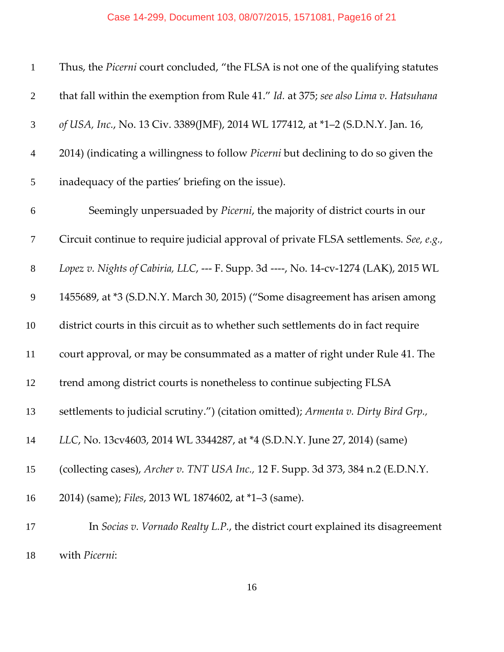### Case 14-299, Document 103, 08/07/2015, 1571081, Page16 of 21

| $\mathbf{1}$     | Thus, the Picerni court concluded, "the FLSA is not one of the qualifying statutes    |
|------------------|---------------------------------------------------------------------------------------|
| $\overline{2}$   | that fall within the exemption from Rule 41." Id. at 375; see also Lima v. Hatsuhana  |
| 3                | of USA, Inc., No. 13 Civ. 3389(JMF), 2014 WL 177412, at *1-2 (S.D.N.Y. Jan. 16,       |
| $\overline{4}$   | 2014) (indicating a willingness to follow Picerni but declining to do so given the    |
| 5                | inadequacy of the parties' briefing on the issue).                                    |
| $\boldsymbol{6}$ | Seemingly unpersuaded by Picerni, the majority of district courts in our              |
| $\tau$           | Circuit continue to require judicial approval of private FLSA settlements. See, e.g., |
| $8\,$            | Lopez v. Nights of Cabiria, LLC, --- F. Supp. 3d ----, No. 14-cv-1274 (LAK), 2015 WL  |
| 9                | 1455689, at *3 (S.D.N.Y. March 30, 2015) ("Some disagreement has arisen among         |
| 10               | district courts in this circuit as to whether such settlements do in fact require     |
| 11               | court approval, or may be consummated as a matter of right under Rule 41. The         |
| 12               | trend among district courts is nonetheless to continue subjecting FLSA                |
| 13               | settlements to judicial scrutiny.") (citation omitted); Armenta v. Dirty Bird Grp.,   |
| 14               | LLC, No. 13cv4603, 2014 WL 3344287, at *4 (S.D.N.Y. June 27, 2014) (same)             |
| 15               | (collecting cases), Archer v. TNT USA Inc., 12 F. Supp. 3d 373, 384 n.2 (E.D.N.Y.     |
| 16               | 2014) (same); Files, 2013 WL 1874602, at *1-3 (same).                                 |
| 17               | In Socias v. Vornado Realty L.P., the district court explained its disagreement       |
| 18               | with Picerni:                                                                         |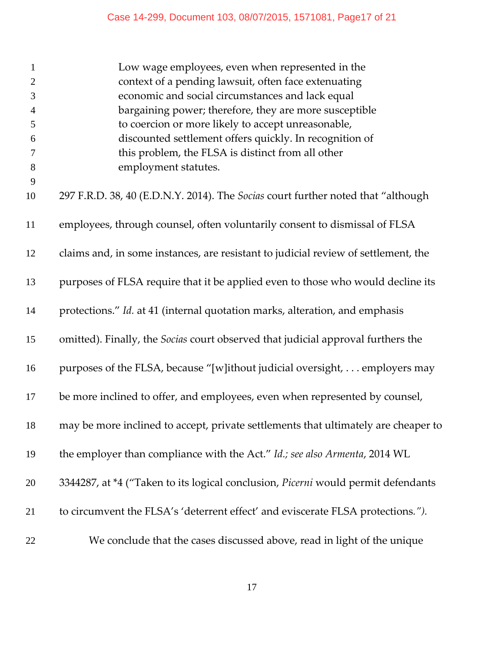| $\mathbf{1}$   | Low wage employees, even when represented in the                                   |
|----------------|------------------------------------------------------------------------------------|
| $\overline{2}$ | context of a pending lawsuit, often face extenuating                               |
| 3              | economic and social circumstances and lack equal                                   |
| $\overline{4}$ | bargaining power; therefore, they are more susceptible                             |
| 5              | to coercion or more likely to accept unreasonable,                                 |
| 6              | discounted settlement offers quickly. In recognition of                            |
| $\tau$         | this problem, the FLSA is distinct from all other                                  |
| $8\,$          | employment statutes.                                                               |
| 9<br>10        | 297 F.R.D. 38, 40 (E.D.N.Y. 2014). The Socias court further noted that "although   |
| 11             | employees, through counsel, often voluntarily consent to dismissal of FLSA         |
| 12             | claims and, in some instances, are resistant to judicial review of settlement, the |
| 13             | purposes of FLSA require that it be applied even to those who would decline its    |
| 14             | protections." Id. at 41 (internal quotation marks, alteration, and emphasis        |
| 15             | omitted). Finally, the Socias court observed that judicial approval furthers the   |
| 16             | purposes of the FLSA, because "[w]ithout judicial oversight, employers may         |
| 17             | be more inclined to offer, and employees, even when represented by counsel,        |
| 18             | may be more inclined to accept, private settlements that ultimately are cheaper to |
| 19             | the employer than compliance with the Act." Id.; see also Armenta, 2014 WL         |
| 20             | 3344287, at *4 ("Taken to its logical conclusion, Picerni would permit defendants  |
| 21             | to circumvent the FLSA's 'deterrent effect' and eviscerate FLSA protections.").    |
| 22             | We conclude that the cases discussed above, read in light of the unique            |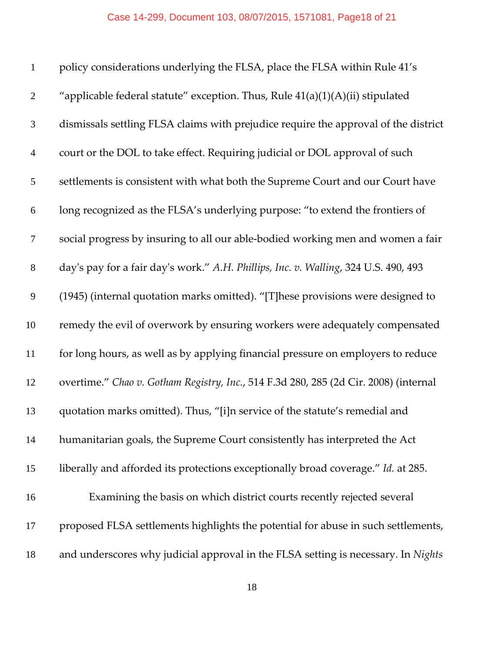| $\mathbf{1}$   | policy considerations underlying the FLSA, place the FLSA within Rule 41's           |
|----------------|--------------------------------------------------------------------------------------|
| $\overline{2}$ | "applicable federal statute" exception. Thus, Rule 41(a)(1)(A)(ii) stipulated        |
| 3              | dismissals settling FLSA claims with prejudice require the approval of the district  |
| $\overline{4}$ | court or the DOL to take effect. Requiring judicial or DOL approval of such          |
| 5              | settlements is consistent with what both the Supreme Court and our Court have        |
| 6              | long recognized as the FLSA's underlying purpose: "to extend the frontiers of        |
| $\tau$         | social progress by insuring to all our able-bodied working men and women a fair      |
| $8\,$          | day's pay for a fair day's work." A.H. Phillips, Inc. v. Walling, 324 U.S. 490, 493  |
| 9              | (1945) (internal quotation marks omitted). "[T]hese provisions were designed to      |
| 10             | remedy the evil of overwork by ensuring workers were adequately compensated          |
| 11             | for long hours, as well as by applying financial pressure on employers to reduce     |
| 12             | overtime." Chao v. Gotham Registry, Inc., 514 F.3d 280, 285 (2d Cir. 2008) (internal |
| 13             | quotation marks omitted). Thus, "[i]n service of the statute's remedial and          |
| 14             | humanitarian goals, the Supreme Court consistently has interpreted the Act           |
| 15             | liberally and afforded its protections exceptionally broad coverage." Id. at 285.    |
| 16             | Examining the basis on which district courts recently rejected several               |
| 17             | proposed FLSA settlements highlights the potential for abuse in such settlements,    |
| 18             | and underscores why judicial approval in the FLSA setting is necessary. In Nights    |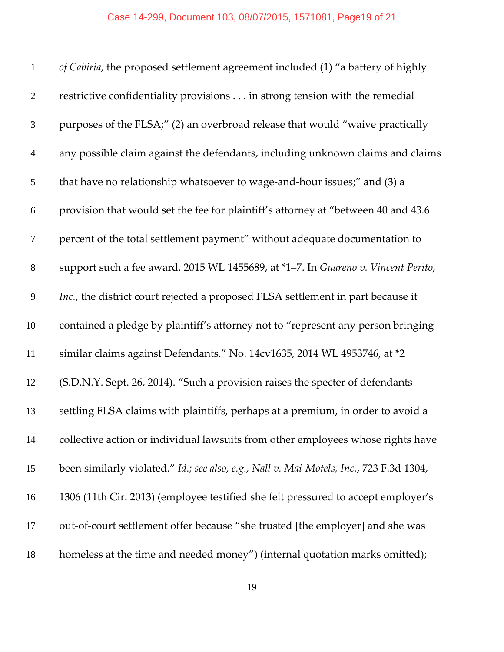| $\mathbf{1}$   | of Cabiria, the proposed settlement agreement included (1) "a battery of highly         |
|----------------|-----------------------------------------------------------------------------------------|
| $\overline{2}$ | restrictive confidentiality provisions in strong tension with the remedial              |
| 3              | purposes of the FLSA;" (2) an overbroad release that would "waive practically           |
| $\overline{4}$ | any possible claim against the defendants, including unknown claims and claims          |
| 5              | that have no relationship whatsoever to wage-and-hour issues;" and (3) a                |
| 6              | provision that would set the fee for plaintiff's attorney at "between 40 and 43.6       |
| $\tau$         | percent of the total settlement payment" without adequate documentation to              |
| $8\,$          | support such a fee award. 2015 WL 1455689, at *1-7. In Guareno v. Vincent Perito,       |
| 9              | Inc., the district court rejected a proposed FLSA settlement in part because it         |
| 10             | contained a pledge by plaintiff's attorney not to "represent any person bringing        |
| 11             | similar claims against Defendants." No. 14cv1635, 2014 WL 4953746, at *2                |
| 12             | (S.D.N.Y. Sept. 26, 2014). "Such a provision raises the specter of defendants           |
| 13             | settling FLSA claims with plaintiffs, perhaps at a premium, in order to avoid a         |
| 14             | collective action or individual lawsuits from other employees whose rights have         |
| 15             | been similarly violated." Id.; see also, e.g., Nall v. Mai-Motels, Inc., 723 F.3d 1304, |
| 16             | 1306 (11th Cir. 2013) (employee testified she felt pressured to accept employer's       |
| 17             | out-of-court settlement offer because "she trusted [the employer] and she was           |
| 18             | homeless at the time and needed money") (internal quotation marks omitted);             |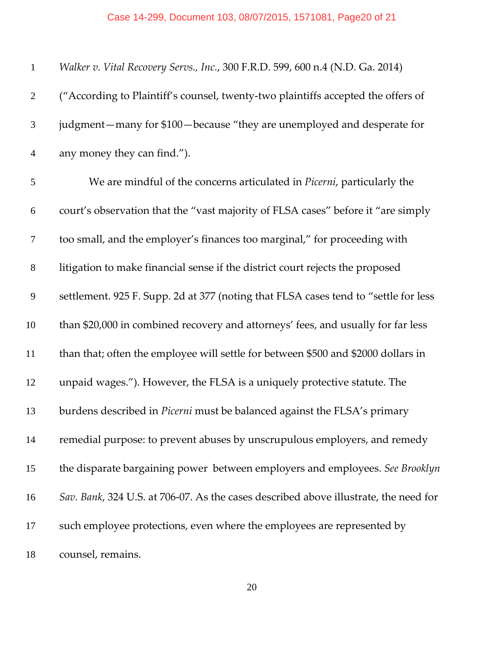#### Case 14-299, Document 103, 08/07/2015, 1571081, Page20 of 21

| $\mathbf{1}$   | Walker v. Vital Recovery Servs., Inc., 300 F.R.D. 599, 600 n.4 (N.D. Ga. 2014)       |
|----------------|--------------------------------------------------------------------------------------|
| $\overline{2}$ | ("According to Plaintiff's counsel, twenty-two plaintiffs accepted the offers of     |
| 3              | judgment-many for \$100-because "they are unemployed and desperate for               |
| $\overline{4}$ | any money they can find.").                                                          |
| 5              | We are mindful of the concerns articulated in <i>Picerni</i> , particularly the      |
| 6              | court's observation that the "vast majority of FLSA cases" before it "are simply     |
| $\tau$         | too small, and the employer's finances too marginal," for proceeding with            |
| $8\,$          | litigation to make financial sense if the district court rejects the proposed        |
| 9              | settlement. 925 F. Supp. 2d at 377 (noting that FLSA cases tend to "settle for less  |
| 10             | than \$20,000 in combined recovery and attorneys' fees, and usually for far less     |
| 11             | than that; often the employee will settle for between \$500 and \$2000 dollars in    |
| 12             | unpaid wages."). However, the FLSA is a uniquely protective statute. The             |
| 13             | burdens described in Picerni must be balanced against the FLSA's primary             |
| 14             | remedial purpose: to prevent abuses by unscrupulous employers, and remedy            |
| 15             | the disparate bargaining power between employers and employees. See Brooklyn         |
| 16             | Sav. Bank, 324 U.S. at 706-07. As the cases described above illustrate, the need for |
| 17             | such employee protections, even where the employees are represented by               |
| 18             | counsel, remains.                                                                    |